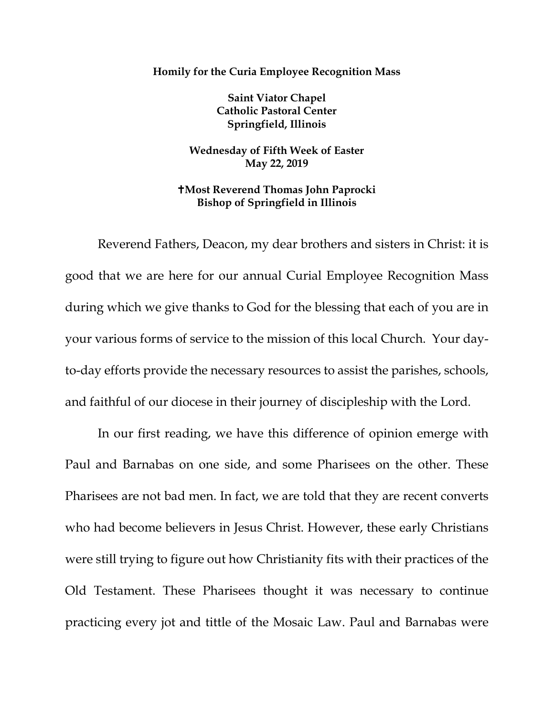**Homily for the Curia Employee Recognition Mass**

**Saint Viator Chapel Catholic Pastoral Center Springfield, Illinois** 

**Wednesday of Fifth Week of Easter May 22, 2019** 

**Most Reverend Thomas John Paprocki Bishop of Springfield in Illinois**

Reverend Fathers, Deacon, my dear brothers and sisters in Christ: it is good that we are here for our annual Curial Employee Recognition Mass during which we give thanks to God for the blessing that each of you are in your various forms of service to the mission of this local Church. Your dayto-day efforts provide the necessary resources to assist the parishes, schools, and faithful of our diocese in their journey of discipleship with the Lord.

In our first reading, we have this difference of opinion emerge with Paul and Barnabas on one side, and some Pharisees on the other. These Pharisees are not bad men. In fact, we are told that they are recent converts who had become believers in Jesus Christ. However, these early Christians were still trying to figure out how Christianity fits with their practices of the Old Testament. These Pharisees thought it was necessary to continue practicing every jot and tittle of the Mosaic Law. Paul and Barnabas were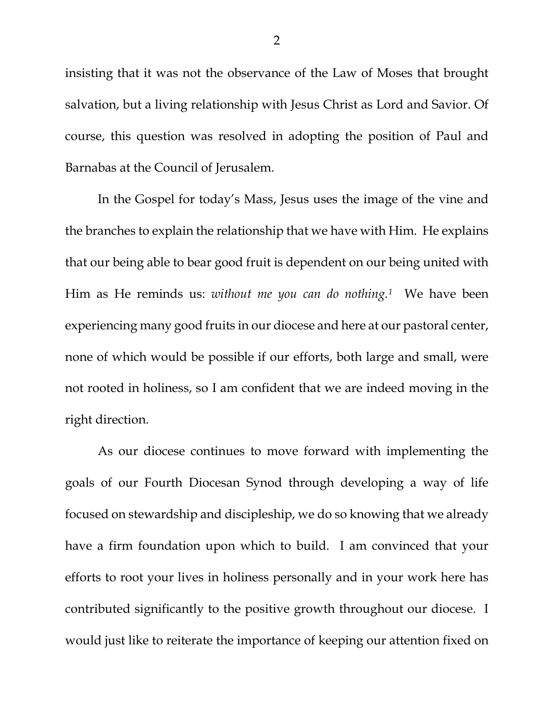insisting that it was not the observance of the Law of Moses that brought salvation, but a living relationship with Jesus Christ as Lord and Savior. Of course, this question was resolved in adopting the position of Paul and Barnabas at the Council of Jerusalem.

In the Gospel for today's Mass, Jesus uses the image of the vine and the branches to explain the relationship that we have with Him. He explains that our being able to bear good fruit is dependent on our being united with Him as He reminds us: *without me you can do nothing[.1](#page-2-0)* We have been experiencing many good fruits in our diocese and here at our pastoral center, none of which would be possible if our efforts, both large and small, were not rooted in holiness, so I am confident that we are indeed moving in the right direction.

As our diocese continues to move forward with implementing the goals of our Fourth Diocesan Synod through developing a way of life focused on stewardship and discipleship, we do so knowing that we already have a firm foundation upon which to build. I am convinced that your efforts to root your lives in holiness personally and in your work here has contributed significantly to the positive growth throughout our diocese. I would just like to reiterate the importance of keeping our attention fixed on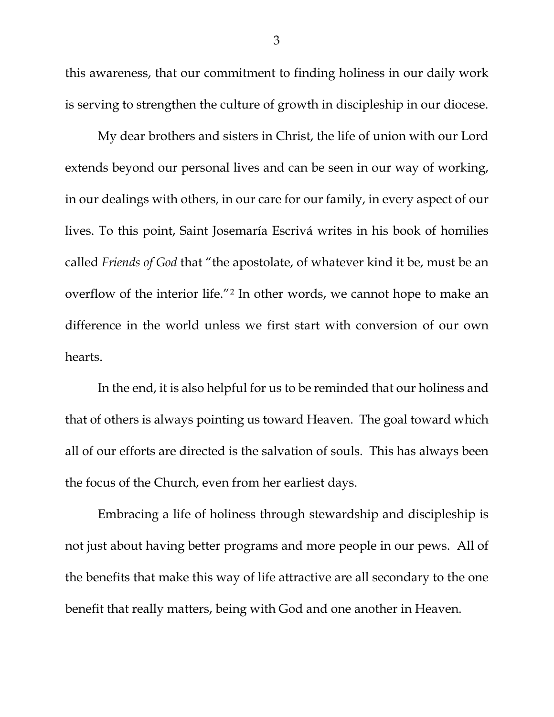this awareness, that our commitment to finding holiness in our daily work is serving to strengthen the culture of growth in discipleship in our diocese.

My dear brothers and sisters in Christ, the life of union with our Lord extends beyond our personal lives and can be seen in our way of working, in our dealings with others, in our care for our family, in every aspect of our lives. To this point, Saint Josemaría Escrivá writes in his book of homilies called *Friends of God* that "the apostolate, of whatever kind it be, must be an overflow of the interior life."[2](#page-2-1) In other words, we cannot hope to make an difference in the world unless we first start with conversion of our own hearts.

<span id="page-2-1"></span><span id="page-2-0"></span>In the end, it is also helpful for us to be reminded that our holiness and that of others is always pointing us toward Heaven. The goal toward which all of our efforts are directed is the salvation of souls. This has always been the focus of the Church, even from her earliest days.

Embracing a life of holiness through stewardship and discipleship is not just about having better programs and more people in our pews. All of the benefits that make this way of life attractive are all secondary to the one benefit that really matters, being with God and one another in Heaven.